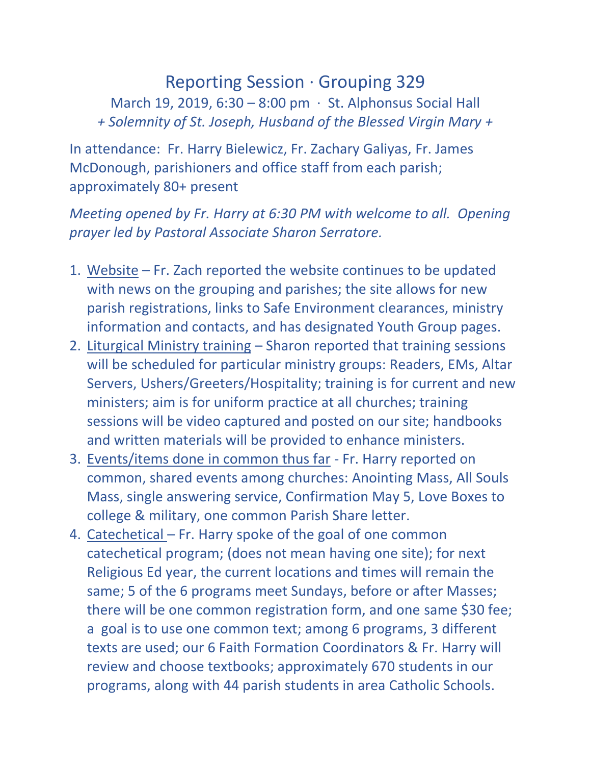## Reporting Session · Grouping 329 March 19, 2019, 6:30 – 8:00 pm  $\cdot$  St. Alphonsus Social Hall *+ Solemnity of St. Joseph, Husband of the Blessed Virgin Mary +*

In attendance: Fr. Harry Bielewicz, Fr. Zachary Galiyas, Fr. James McDonough, parishioners and office staff from each parish; approximately 80+ present

## *Meeting opened by Fr. Harry at 6:30 PM with welcome to all. Opening prayer led by Pastoral Associate Sharon Serratore.*

- 1. Website Fr. Zach reported the website continues to be updated with news on the grouping and parishes; the site allows for new parish registrations, links to Safe Environment clearances, ministry information and contacts, and has designated Youth Group pages.
- 2. Liturgical Ministry training Sharon reported that training sessions will be scheduled for particular ministry groups: Readers, EMs, Altar Servers, Ushers/Greeters/Hospitality; training is for current and new ministers; aim is for uniform practice at all churches; training sessions will be video captured and posted on our site; handbooks and written materials will be provided to enhance ministers.
- 3. Events/items done in common thus far Fr. Harry reported on common, shared events among churches: Anointing Mass, All Souls Mass, single answering service, Confirmation May 5, Love Boxes to college & military, one common Parish Share letter.
- 4. Catechetical Fr. Harry spoke of the goal of one common catechetical program; (does not mean having one site); for next Religious Ed year, the current locations and times will remain the same; 5 of the 6 programs meet Sundays, before or after Masses; there will be one common registration form, and one same \$30 fee; a goal is to use one common text; among 6 programs, 3 different texts are used; our 6 Faith Formation Coordinators & Fr. Harry will review and choose textbooks; approximately 670 students in our programs, along with 44 parish students in area Catholic Schools.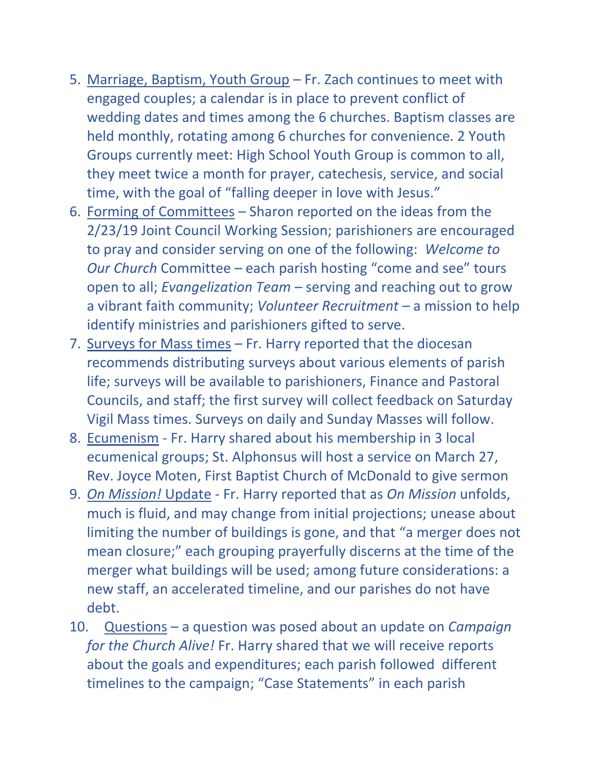- 5. Marriage, Baptism, Youth Group Fr. Zach continues to meet with engaged couples; a calendar is in place to prevent conflict of wedding dates and times among the 6 churches. Baptism classes are held monthly, rotating among 6 churches for convenience. 2 Youth Groups currently meet: High School Youth Group is common to all, they meet twice a month for prayer, catechesis, service, and social time, with the goal of "falling deeper in love with Jesus."
- 6. Forming of Committees Sharon reported on the ideas from the 2/23/19 Joint Council Working Session; parishioners are encouraged to pray and consider serving on one of the following: *Welcome to Our Church* Committee – each parish hosting "come and see" tours open to all; *Evangelization Team* – serving and reaching out to grow a vibrant faith community; *Volunteer Recruitment* – a mission to help identify ministries and parishioners gifted to serve.
- 7. Surveys for Mass times Fr. Harry reported that the diocesan recommends distributing surveys about various elements of parish life; surveys will be available to parishioners, Finance and Pastoral Councils, and staff; the first survey will collect feedback on Saturday Vigil Mass times. Surveys on daily and Sunday Masses will follow.
- 8. Ecumenism Fr. Harry shared about his membership in 3 local ecumenical groups; St. Alphonsus will host a service on March 27, Rev. Joyce Moten, First Baptist Church of McDonald to give sermon
- 9. *On Mission!* Update Fr. Harry reported that as *On Mission* unfolds, much is fluid, and may change from initial projections; unease about limiting the number of buildings is gone, and that "a merger does not mean closure;" each grouping prayerfully discerns at the time of the merger what buildings will be used; among future considerations: a new staff, an accelerated timeline, and our parishes do not have debt.
- 10. Questions a question was posed about an update on *Campaign for the Church Alive!* Fr. Harry shared that we will receive reports about the goals and expenditures; each parish followed different timelines to the campaign; "Case Statements" in each parish